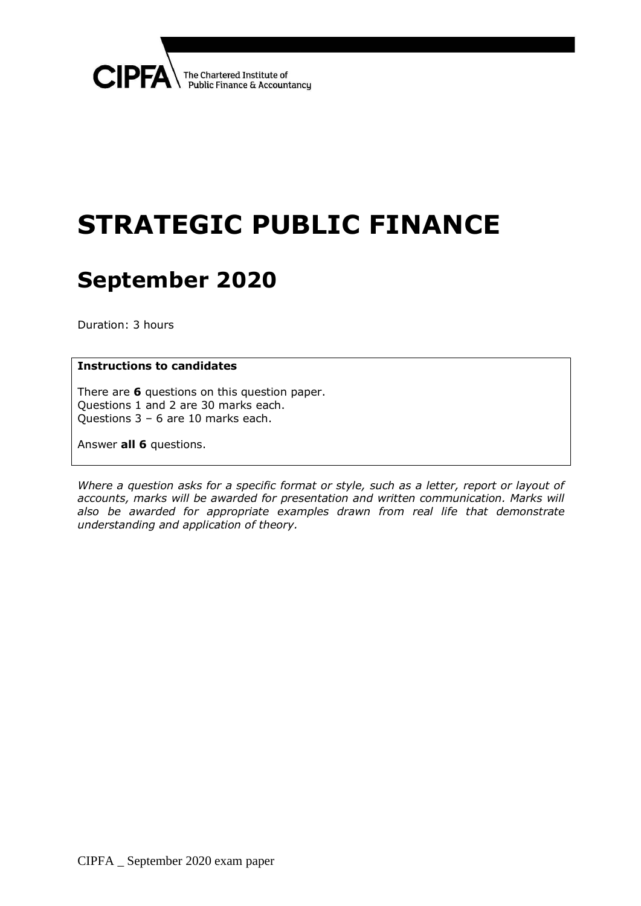

# **STRATEGIC PUBLIC FINANCE**

# **September 2020**

Duration: 3 hours

#### **Instructions to candidates**

There are **6** questions on this question paper. Questions 1 and 2 are 30 marks each. Questions 3 – 6 are 10 marks each.

Answer **all 6** questions.

*Where a question asks for a specific format or style, such as a letter, report or layout of*  accounts, marks will be awarded for presentation and written communication. Marks will *also be awarded for appropriate examples drawn from real life that demonstrate understanding and application of theory.*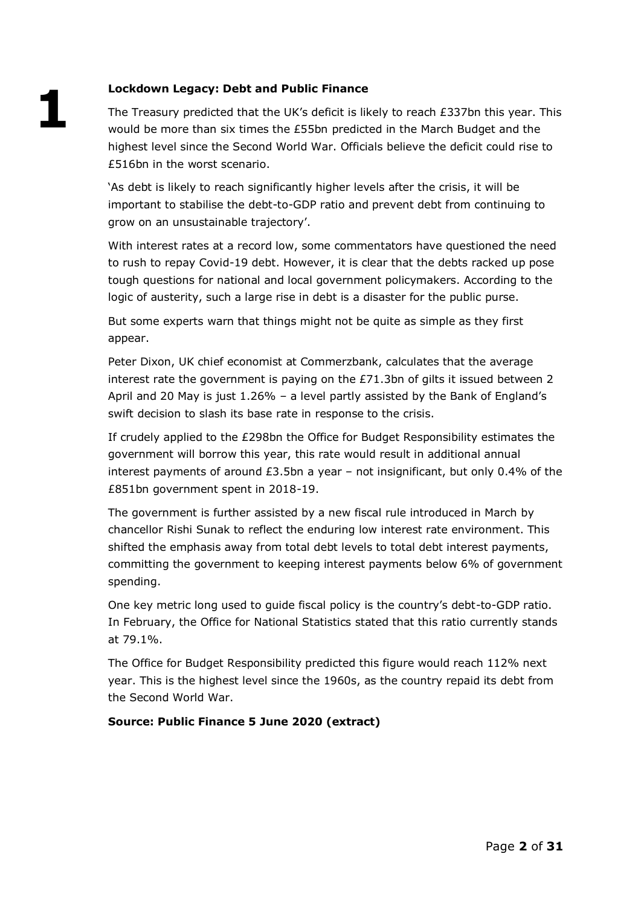# **Lockdown Legacy: Debt and Public Finance**

**1**

The Treasury predicted that the UK's deficit is likely to reach £337bn this year. This would be more than six times the £55bn predicted in the March Budget and the highest level since the Second World War. Officials believe the deficit could rise to £516bn in the worst scenario.

'As debt is likely to reach significantly higher levels after the crisis, it will be important to stabilise the debt-to-GDP ratio and prevent debt from continuing to grow on an unsustainable trajectory'.

With interest rates at a record low, some commentators have questioned the need to rush to repay Covid-19 debt. However, it is clear that the debts racked up pose tough questions for national and local government policymakers. According to the logic of austerity, such a large rise in debt is a disaster for the public purse.

But some experts warn that things might not be quite as simple as they first appear.

Peter Dixon, UK chief economist at Commerzbank, calculates that the average interest rate the government is paying on the  $E71.3$ bn of gilts it issued between 2 April and 20 May is just 1.26% – a level partly assisted by the Bank of England's swift decision to slash its base rate in response to the crisis.

If crudely applied to the £298bn the Office for Budget Responsibility estimates the government will borrow this year, this rate would result in additional annual interest payments of around  $E3.5$ bn a year – not insignificant, but only 0.4% of the £851bn government spent in 2018-19.

The government is further assisted by a new fiscal rule introduced in March by chancellor Rishi Sunak to reflect the enduring low interest rate environment. This shifted the emphasis away from total debt levels to total debt interest payments, committing the government to keeping interest payments below 6% of government spending.

One key metric long used to guide fiscal policy is the country's debt-to-GDP ratio. In February, the Office for National Statistics stated that this ratio currently stands at 79.1%.

The Office for Budget Responsibility predicted this figure would reach 112% next year. This is the highest level since the 1960s, as the country repaid its debt from the Second World War.

#### **Source: Public Finance 5 June 2020 (extract)**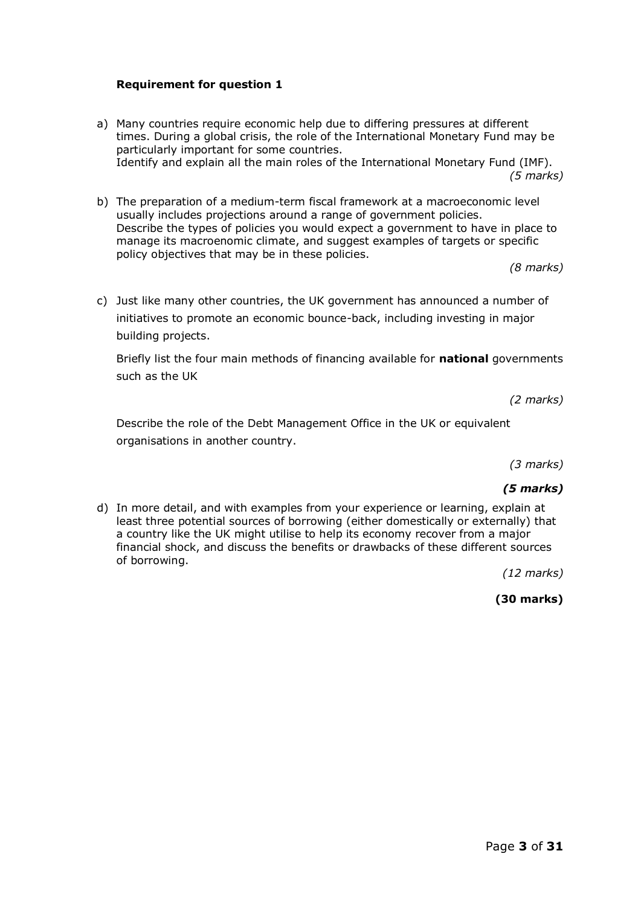#### **Requirement for question 1**

a) Many countries require economic help due to differing pressures at different times. During a global crisis, the role of the International Monetary Fund may be particularly important for some countries. Identify and explain all the main roles of the International Monetary Fund (IMF).

*(5 marks)*

b) The preparation of a medium-term fiscal framework at a macroeconomic level usually includes projections around a range of government policies. Describe the types of policies you would expect a government to have in place to manage its macroenomic climate, and suggest examples of targets or specific policy objectives that may be in these policies.

*(8 marks)*

c) Just like many other countries, the UK government has announced a number of initiatives to promote an economic bounce-back, including investing in major building projects.

Briefly list the four main methods of financing available for **national** governments such as the UK

*(2 marks)*

Describe the role of the Debt Management Office in the UK or equivalent organisations in another country.

*(3 marks)*

#### *(5 marks)*

d) In more detail, and with examples from your experience or learning, explain at least three potential sources of borrowing (either domestically or externally) that a country like the UK might utilise to help its economy recover from a major financial shock, and discuss the benefits or drawbacks of these different sources of borrowing.

*(12 marks)*

**(30 marks)**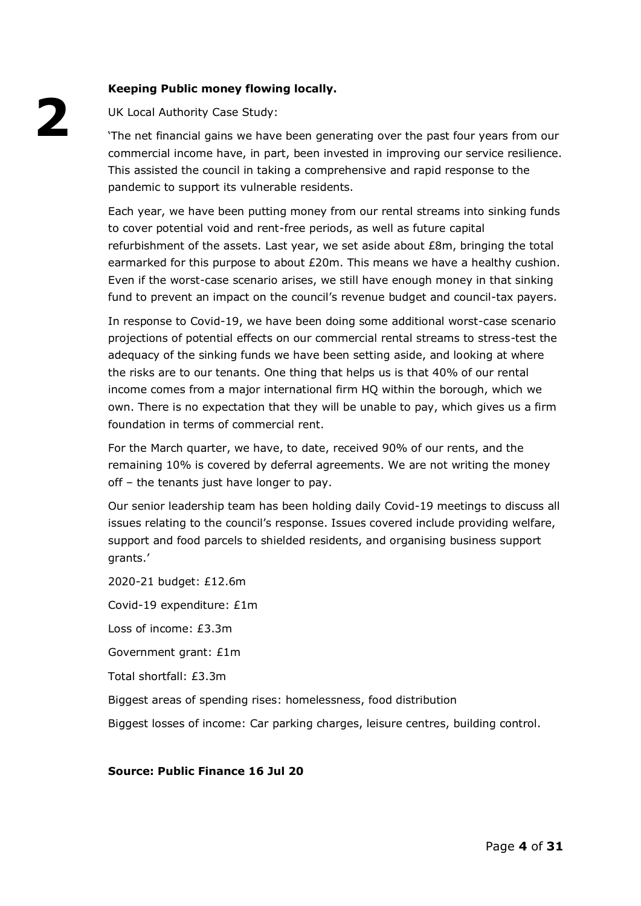# **Keeping Public money flowing locally.**

UK Local Authority Case Study:

'The net financial gains we have been generating over the past four years from our commercial income have, in part, been invested in improving our service resilience. This assisted the council in taking a comprehensive and rapid response to the pandemic to support its vulnerable residents.

Each year, we have been putting money from our rental streams into sinking funds to cover potential void and rent-free periods, as well as future capital refurbishment of the assets. Last year, we set aside about £8m, bringing the total earmarked for this purpose to about £20m. This means we have a healthy cushion. Even if the worst-case scenario arises, we still have enough money in that sinking fund to prevent an impact on the council's revenue budget and council-tax payers.

In response to Covid-19, we have been doing some additional worst-case scenario projections of potential effects on our commercial rental streams to stress-test the adequacy of the sinking funds we have been setting aside, and looking at where the risks are to our tenants. One thing that helps us is that 40% of our rental income comes from a major international firm HQ within the borough, which we own. There is no expectation that they will be unable to pay, which gives us a firm foundation in terms of commercial rent.

For the March quarter, we have, to date, received 90% of our rents, and the remaining 10% is covered by deferral agreements. We are not writing the money off – the tenants just have longer to pay.

Our senior leadership team has been holding daily Covid-19 meetings to discuss all issues relating to the council's response. Issues covered include providing welfare, support and food parcels to shielded residents, and organising business support grants.'

2020-21 budget: £12.6m

Covid-19 expenditure: £1m

Loss of income: £3.3m

Government grant: £1m

Total shortfall: £3.3m

Biggest areas of spending rises: homelessness, food distribution

Biggest losses of income: Car parking charges, leisure centres, building control.

**Source: Public Finance 16 Jul 20**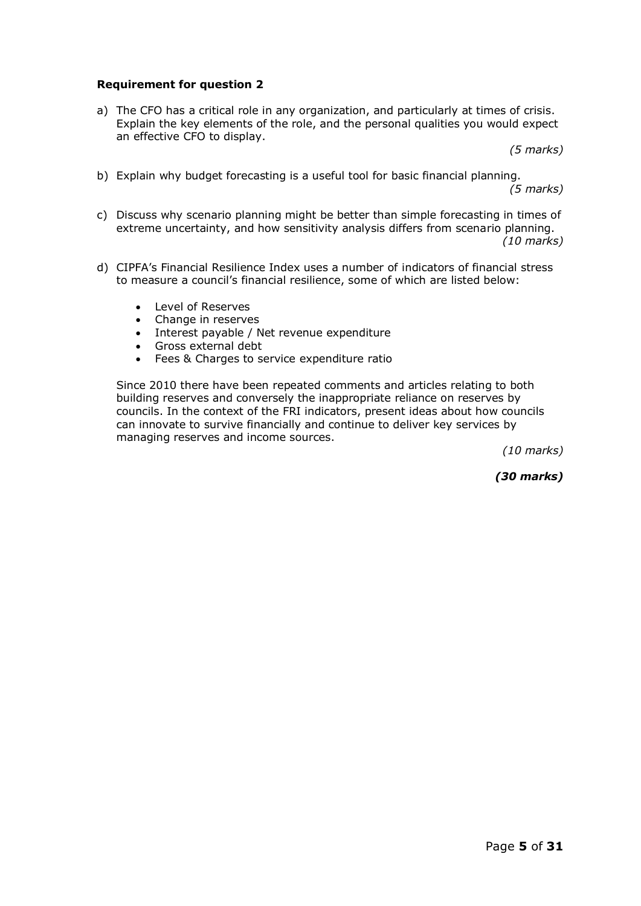#### **Requirement for question 2**

a) The CFO has a critical role in any organization, and particularly at times of crisis. Explain the key elements of the role, and the personal qualities you would expect an effective CFO to display.

*(5 marks)*

b) Explain why budget forecasting is a useful tool for basic financial planning.

*(5 marks)*

- c) Discuss why scenario planning might be better than simple forecasting in times of extreme uncertainty, and how sensitivity analysis differs from scenario planning. *(10 marks)*
- d) CIPFA's Financial Resilience Index uses a number of indicators of financial stress to measure a council's financial resilience, some of which are listed below:
	- Level of Reserves
	- Change in reserves
	- Interest payable / Net revenue expenditure
	- Gross external debt
	- Fees & Charges to service expenditure ratio

Since 2010 there have been repeated comments and articles relating to both building reserves and conversely the inappropriate reliance on reserves by councils. In the context of the FRI indicators, present ideas about how councils can innovate to survive financially and continue to deliver key services by managing reserves and income sources.

*(10 marks)*

*(30 marks)*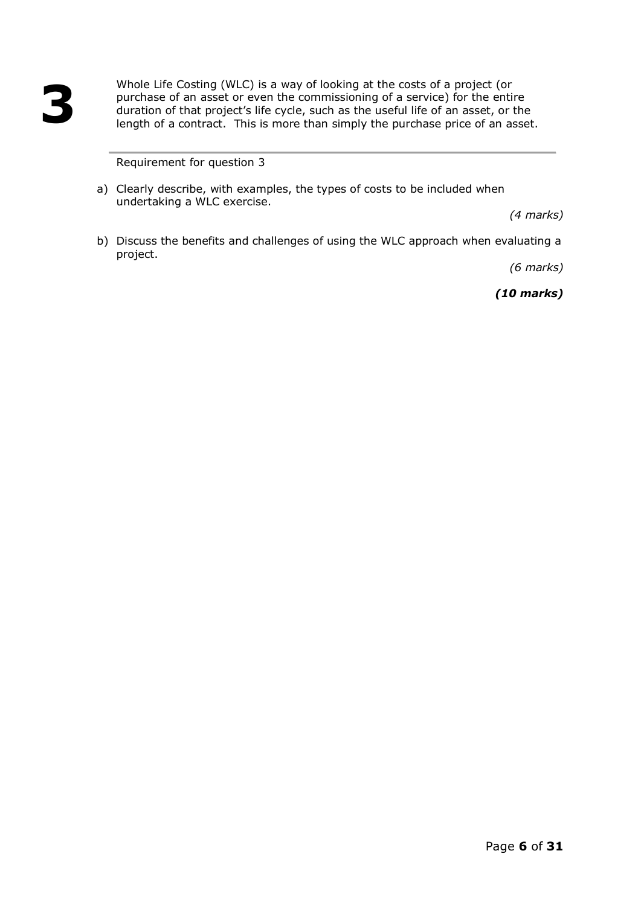Whole Life Costing (WLC) is a way of looking at the costs of a project (or purchase of an asset or even the commissioning of a service) for the entire duration of that project's life cycle, such as the useful life of an asset, or the length of a contract. This is more than simply the purchase price of an asset.

Requirement for question 3

a) Clearly describe, with examples, the types of costs to be included when undertaking a WLC exercise.

*(4 marks)*

b) Discuss the benefits and challenges of using the WLC approach when evaluating a project.

*(6 marks)*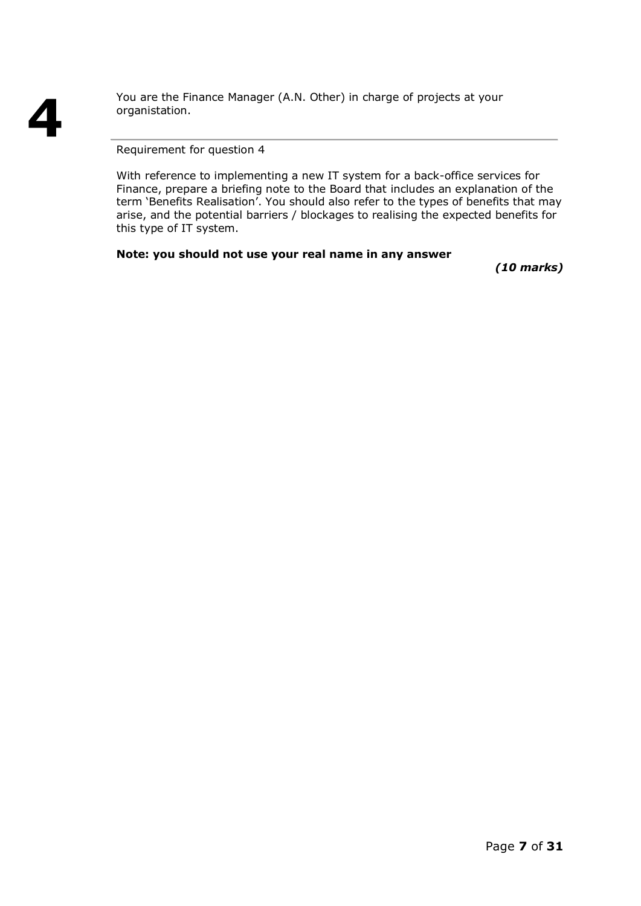You are the Finance Manager (A.N. Other) in charge of projects at your organistation.

Requirement for question 4

With reference to implementing a new IT system for a back-office services for Finance, prepare a briefing note to the Board that includes an explanation of the term 'Benefits Realisation'. You should also refer to the types of benefits that may arise, and the potential barriers / blockages to realising the expected benefits for this type of IT system.

# **Note: you should not use your real name in any answer**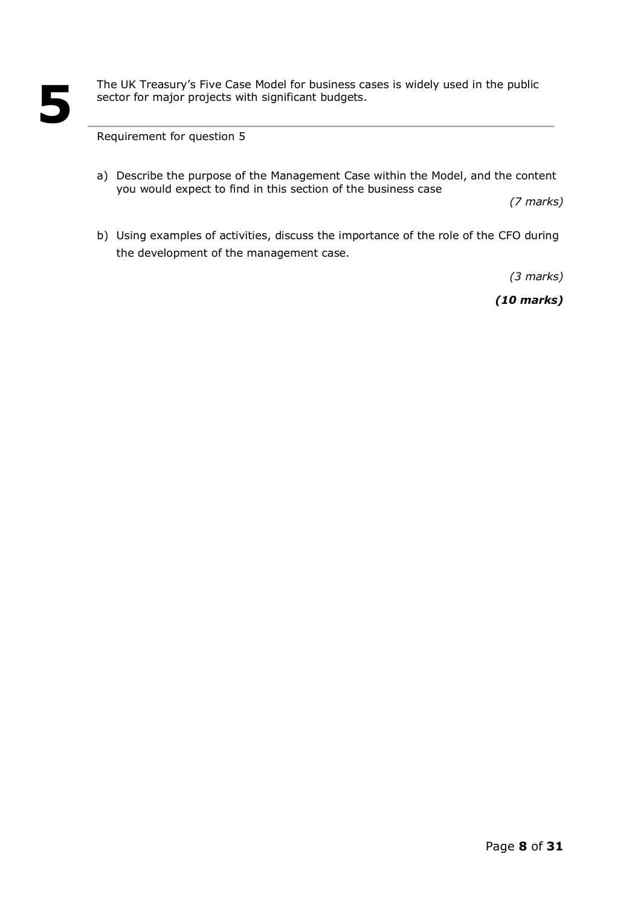The UK Treasury's Five Case Model for business cases is widely used in the public sector for major projects with significant budgets.

Requirement for question 5

a) Describe the purpose of the Management Case within the Model, and the content you would expect to find in this section of the business case

*(7 marks)*

b) Using examples of activities, discuss the importance of the role of the CFO during the development of the management case.

*(3 marks)*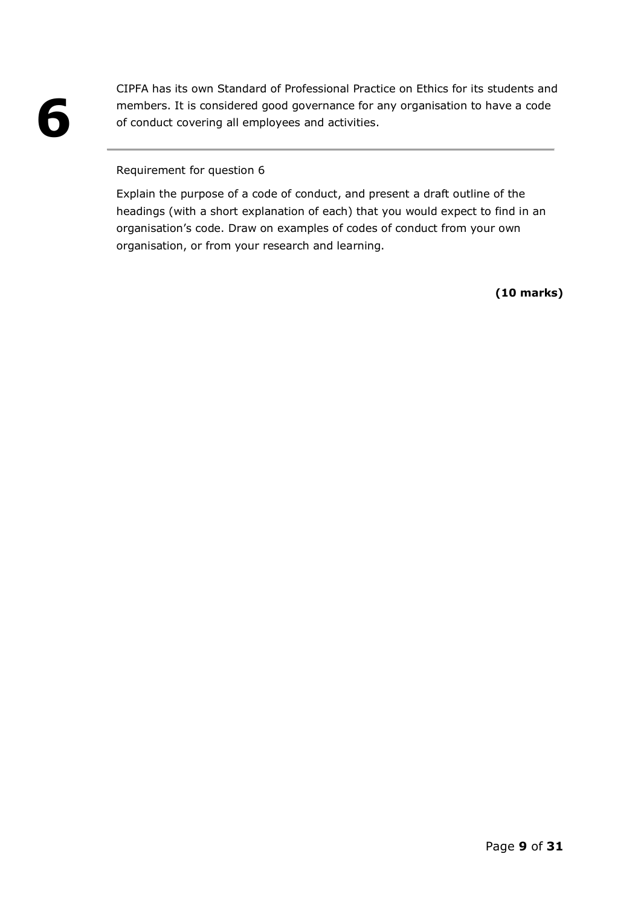CIPFA has its own Standard of Professional Practice on Ethics for its students and members. It is considered good governance for any organisation to have a code of conduct covering all employees and activities.

#### Requirement for question 6

Explain the purpose of a code of conduct, and present a draft outline of the headings (with a short explanation of each) that you would expect to find in an organisation's code. Draw on examples of codes of conduct from your own organisation, or from your research and learning.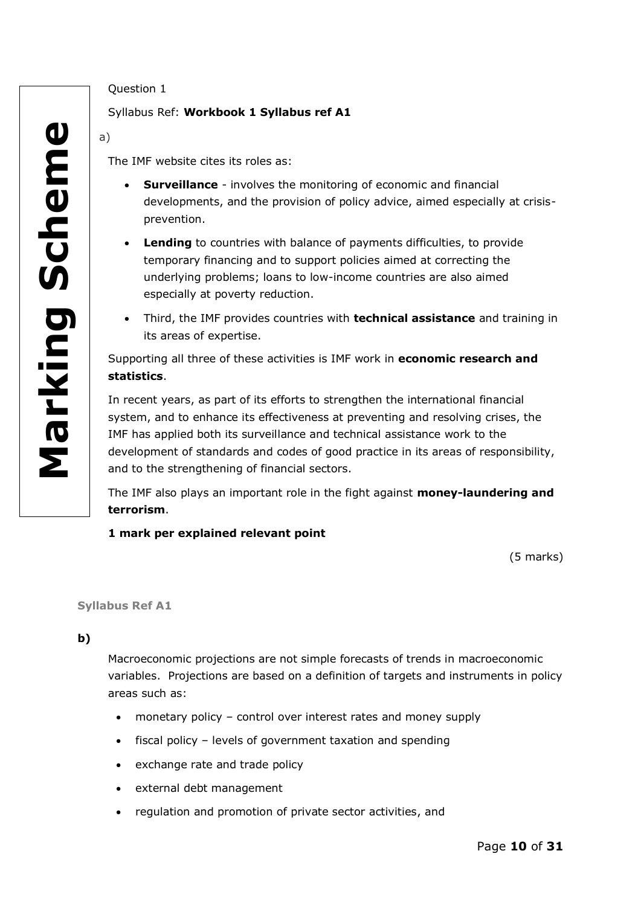# Question 1

# Syllabus Ref: **Workbook 1 Syllabus ref A1**

a)

The IMF website cites its roles as:

- **Surveillance** involves the monitoring of economic and financial developments, and the provision of policy advice, aimed especially at crisisprevention.
- **Lending** to countries with balance of payments difficulties, to provide temporary financing and to support policies aimed at correcting the underlying problems; loans to low-income countries are also aimed especially at poverty reduction.
- Third, the IMF provides countries with **technical assistance** and training in its areas of expertise.

Supporting all three of these activities is IMF work in **economic research and statistics**.

In recent years, as part of its efforts to strengthen the international financial system, and to enhance its effectiveness at preventing and resolving crises, the IMF has applied both its surveillance and technical assistance work to the development of standards and codes of good practice in its areas of responsibility, and to the strengthening of financial sectors.

The IMF also plays an important role in the fight against **money-laundering and terrorism**.

# **1 mark per explained relevant point**

(5 marks)

**Syllabus Ref A1**

**b)**

Macroeconomic projections are not simple forecasts of trends in macroeconomic variables. Projections are based on a definition of targets and instruments in policy areas such as:

- monetary policy control over interest rates and money supply
- fiscal policy levels of government taxation and spending
- exchange rate and trade policy
- external debt management
- regulation and promotion of private sector activities, and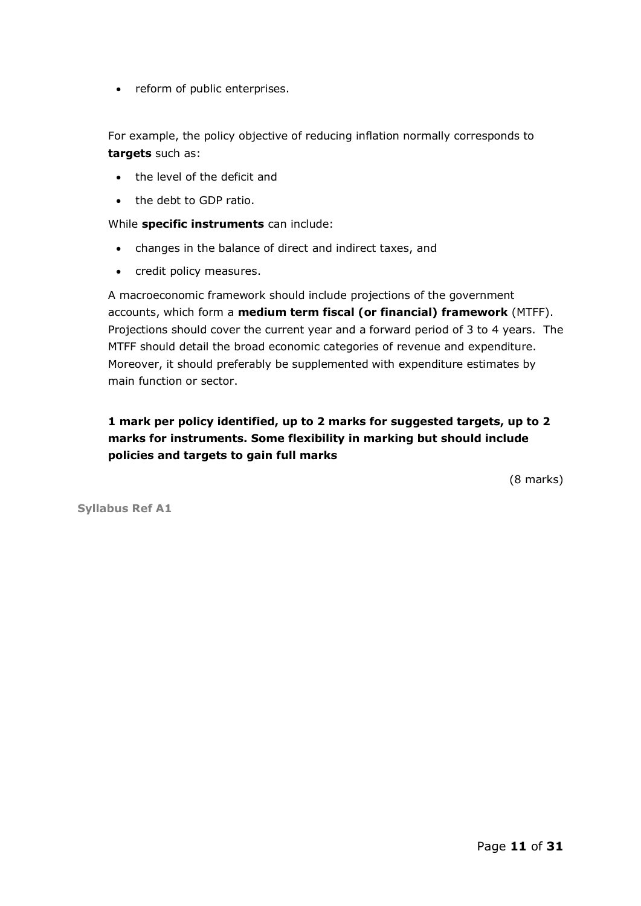• reform of public enterprises.

For example, the policy objective of reducing inflation normally corresponds to **targets** such as:

- the level of the deficit and
- the debt to GDP ratio.

#### While **specific instruments** can include:

- changes in the balance of direct and indirect taxes, and
- credit policy measures.

A macroeconomic framework should include projections of the government accounts, which form a **medium term fiscal (or financial) framework** (MTFF). Projections should cover the current year and a forward period of 3 to 4 years. The MTFF should detail the broad economic categories of revenue and expenditure. Moreover, it should preferably be supplemented with expenditure estimates by main function or sector.

# **1 mark per policy identified, up to 2 marks for suggested targets, up to 2 marks for instruments. Some flexibility in marking but should include policies and targets to gain full marks**

(8 marks)

**Syllabus Ref A1**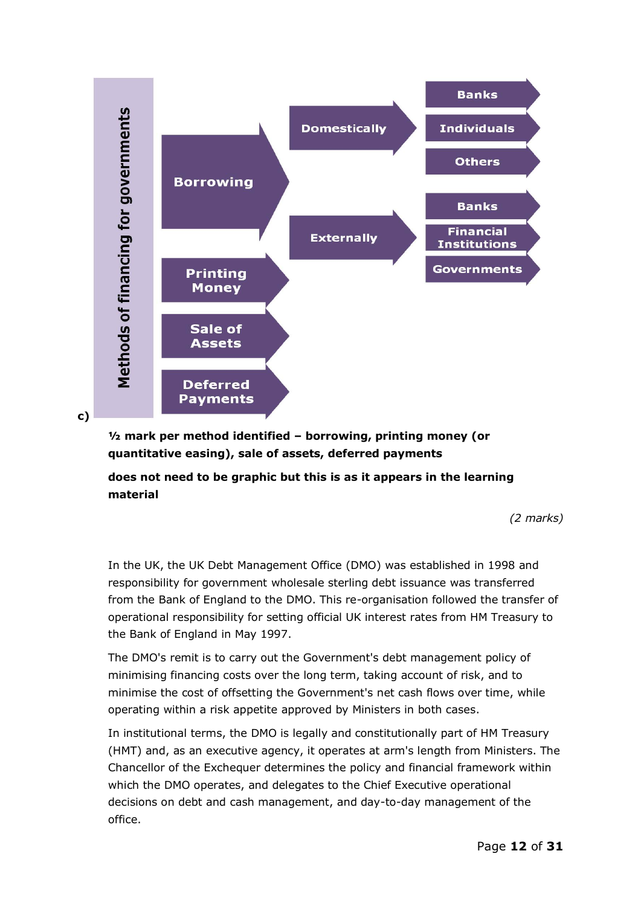

**c)** 

**½ mark per method identified – borrowing, printing money (or quantitative easing), sale of assets, deferred payments**

**does not need to be graphic but this is as it appears in the learning material** 

*(2 marks)*

In the UK, the UK Debt Management Office (DMO) was established in 1998 and responsibility for government wholesale sterling debt issuance was transferred from the Bank of England to the DMO. This re-organisation followed the transfer of operational responsibility for setting official UK interest rates from HM Treasury to the Bank of England in May 1997.

The DMO's remit is to carry out the Government's debt management policy of minimising financing costs over the long term, taking account of risk, and to minimise the cost of offsetting the Government's net cash flows over time, while operating within a risk appetite approved by Ministers in both cases.

In institutional terms, the DMO is legally and constitutionally part of HM Treasury (HMT) and, as an executive agency, it operates at arm's length from Ministers. The Chancellor of the Exchequer determines the policy and financial framework within which the DMO operates, and delegates to the Chief Executive operational decisions on debt and cash management, and day-to-day management of the office.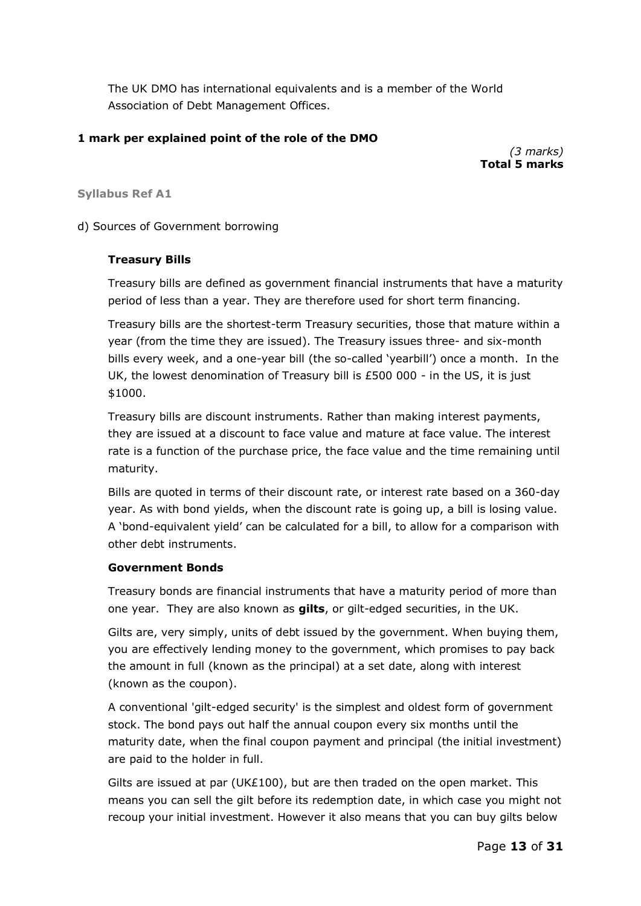The UK DMO has international equivalents and is a member of the World Association of Debt Management Offices.

# **1 mark per explained point of the role of the DMO**

*(3 marks)* **Total 5 marks**

#### **Syllabus Ref A1**

d) Sources of Government borrowing

#### **Treasury Bills**

Treasury bills are defined as government financial instruments that have a maturity period of less than a year. They are therefore used for short term financing.

Treasury bills are the shortest-term Treasury securities, those that mature within a year (from the time they are issued). The Treasury issues three- and six-month bills every week, and a one-year bill (the so-called 'yearbill') once a month. In the UK, the lowest denomination of Treasury bill is £500 000 - in the US, it is just \$1000.

Treasury bills are discount instruments. Rather than making interest payments, they are issued at a discount to face value and mature at face value. The interest rate is a function of the purchase price, the face value and the time remaining until maturity.

Bills are quoted in terms of their discount rate, or interest rate based on a 360-day year. As with bond yields, when the discount rate is going up, a bill is losing value. A 'bond-equivalent yield' can be calculated for a bill, to allow for a comparison with other debt instruments.

#### **Government Bonds**

Treasury bonds are financial instruments that have a maturity period of more than one year. They are also known as **gilts**, or gilt-edged securities, in the UK.

Gilts are, very simply, units of debt issued by the government. When buying them, you are effectively lending money to the government, which promises to pay back the amount in full (known as the principal) at a set date, along with interest (known as the coupon).

A conventional 'gilt-edged security' is the simplest and oldest form of government stock. The bond pays out half the annual coupon every six months until the maturity date, when the final coupon payment and principal (the initial investment) are paid to the holder in full.

Gilts are issued at par (UK£100), but are then traded on the open market. This means you can sell the gilt before its redemption date, in which case you might not recoup your initial investment. However it also means that you can buy gilts below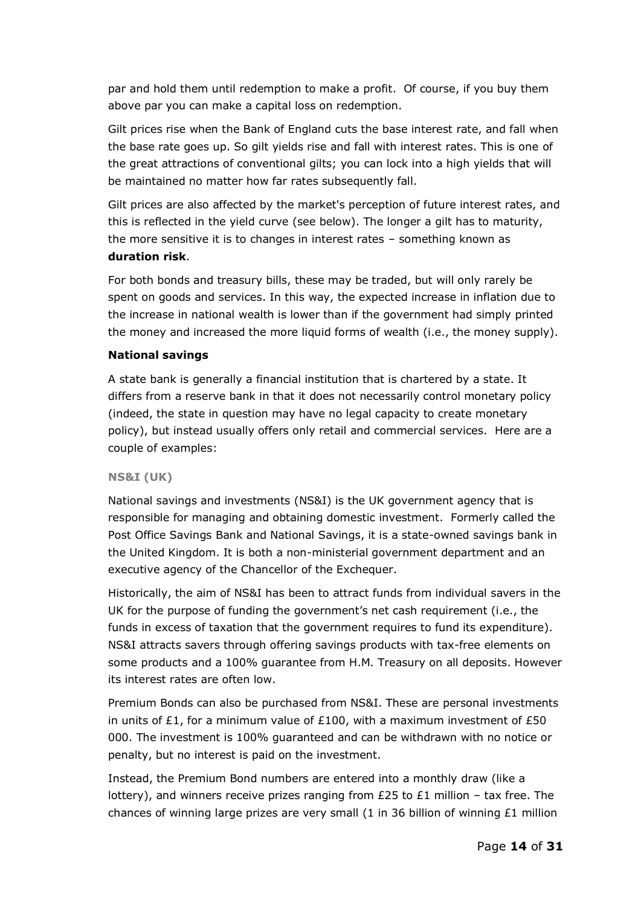par and hold them until redemption to make a profit. Of course, if you buy them above par you can make a capital loss on redemption.

Gilt prices rise when the Bank of England cuts the base interest rate, and fall when the base rate goes up. So gilt yields rise and fall with interest rates. This is one of the great attractions of conventional gilts; you can lock into a high yields that will be maintained no matter how far rates subsequently fall.

Gilt prices are also affected by the market's perception of future interest rates, and this is reflected in the yield curve (see below). The longer a gilt has to maturity, the more sensitive it is to changes in interest rates – something known as **duration risk**.

For both bonds and treasury bills, these may be traded, but will only rarely be spent on goods and services. In this way, the expected increase in inflation due to the increase in national wealth is lower than if the government had simply printed the money and increased the more liquid forms of wealth (i.e., the money supply).

# **National savings**

A state bank is generally a financial institution that is chartered by a state. It differs from a reserve bank in that it does not necessarily control monetary policy (indeed, the state in question may have no legal capacity to create monetary policy), but instead usually offers only retail and commercial services. Here are a couple of examples:

#### **NS&I (UK)**

National savings and investments (NS&I) is the UK government agency that is responsible for managing and obtaining domestic investment. Formerly called the Post Office Savings Bank and National Savings, it is a state-owned savings bank in the United Kingdom. It is both a non-ministerial government department and an executive agency of the Chancellor of the Exchequer.

Historically, the aim of NS&I has been to attract funds from individual savers in the UK for the purpose of funding the government's net cash requirement (i.e., the funds in excess of taxation that the government requires to fund its expenditure). NS&I attracts savers through offering savings products with tax-free elements on some products and a 100% guarantee from H.M. Treasury on all deposits. However its interest rates are often low.

Premium Bonds can also be purchased from NS&I. These are personal investments in units of £1, for a minimum value of £100, with a maximum investment of £50 000. The investment is 100% guaranteed and can be withdrawn with no notice or penalty, but no interest is paid on the investment.

Instead, the Premium Bond numbers are entered into a monthly draw (like a lottery), and winners receive prizes ranging from £25 to £1 million – tax free. The chances of winning large prizes are very small (1 in 36 billion of winning £1 million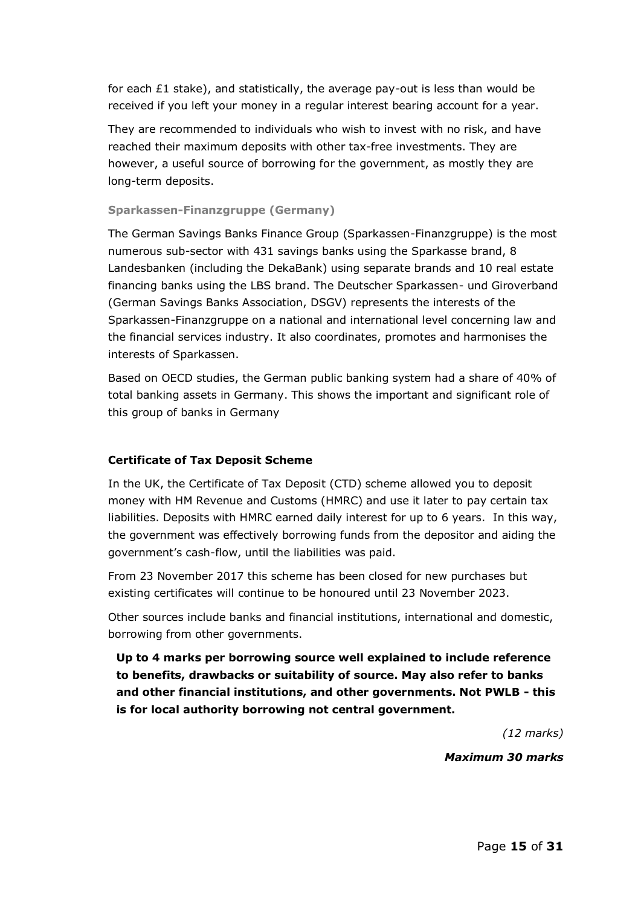for each  $£1$  stake), and statistically, the average pay-out is less than would be received if you left your money in a regular interest bearing account for a year.

They are recommended to individuals who wish to invest with no risk, and have reached their maximum deposits with other tax-free investments. They are however, a useful source of borrowing for the government, as mostly they are long-term deposits.

#### **Sparkassen-Finanzgruppe (Germany)**

The German Savings Banks Finance Group (Sparkassen-Finanzgruppe) is the most numerous sub-sector with 431 savings banks using the Sparkasse brand, 8 Landesbanken (including the DekaBank) using separate brands and 10 real estate financing banks using the LBS brand. The Deutscher Sparkassen- und Giroverband (German Savings Banks Association, DSGV) represents the interests of the Sparkassen-Finanzgruppe on a national and international level concerning law and the financial services industry. It also coordinates, promotes and harmonises the interests of Sparkassen.

Based on OECD studies, the German public banking system had a share of 40% of total banking assets in Germany. This shows the important and significant role of this group of banks in Germany

#### **Certificate of Tax Deposit Scheme**

In the UK, the Certificate of Tax Deposit (CTD) scheme allowed you to deposit money with HM Revenue and Customs (HMRC) and use it later to pay certain tax liabilities. Deposits with HMRC earned daily interest for up to 6 years. In this way, the government was effectively borrowing funds from the depositor and aiding the government's cash-flow, until the liabilities was paid.

From 23 November 2017 this scheme has been closed for new purchases but existing certificates will continue to be honoured until 23 November 2023.

Other sources include banks and financial institutions, international and domestic, borrowing from other governments.

**Up to 4 marks per borrowing source well explained to include reference to benefits, drawbacks or suitability of source. May also refer to banks and other financial institutions, and other governments. Not PWLB - this is for local authority borrowing not central government.** 

*(12 marks)*

*Maximum 30 marks*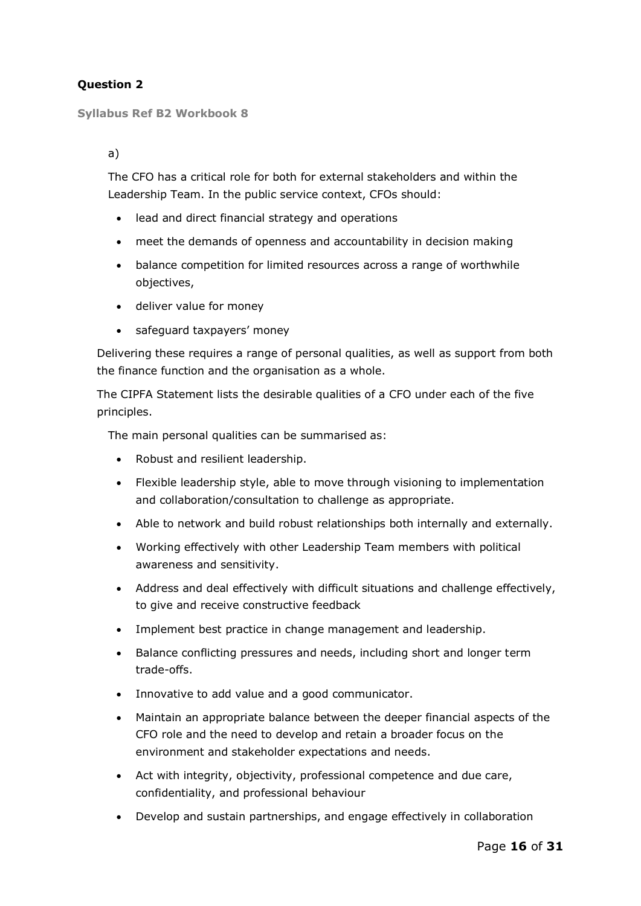# **Question 2**

**Syllabus Ref B2 Workbook 8**

a)

The CFO has a critical role for both for external stakeholders and within the Leadership Team. In the public service context, CFOs should:

- lead and direct financial strategy and operations
- meet the demands of openness and accountability in decision making
- balance competition for limited resources across a range of worthwhile objectives,
- deliver value for money
- safeguard taxpayers' money

Delivering these requires a range of personal qualities, as well as support from both the finance function and the organisation as a whole.

The CIPFA Statement lists the desirable qualities of a CFO under each of the five principles.

The main personal qualities can be summarised as:

- Robust and resilient leadership.
- Flexible leadership style, able to move through visioning to implementation and collaboration/consultation to challenge as appropriate.
- Able to network and build robust relationships both internally and externally.
- Working effectively with other Leadership Team members with political awareness and sensitivity.
- Address and deal effectively with difficult situations and challenge effectively, to give and receive constructive feedback
- Implement best practice in change management and leadership.
- Balance conflicting pressures and needs, including short and longer term trade-offs.
- Innovative to add value and a good communicator.
- Maintain an appropriate balance between the deeper financial aspects of the CFO role and the need to develop and retain a broader focus on the environment and stakeholder expectations and needs.
- Act with integrity, objectivity, professional competence and due care, confidentiality, and professional behaviour
- Develop and sustain partnerships, and engage effectively in collaboration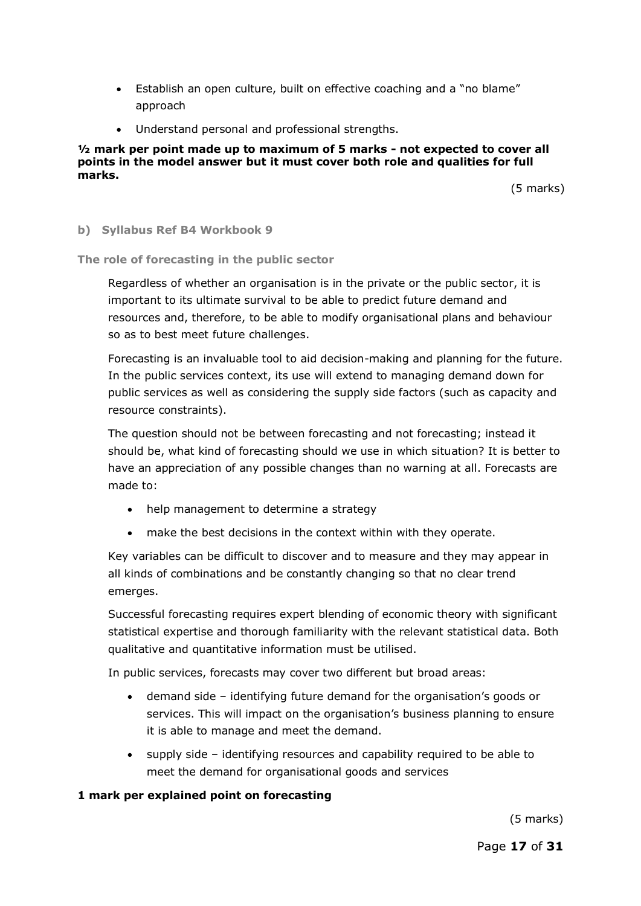- Establish an open culture, built on effective coaching and a "no blame" approach
- Understand personal and professional strengths.

#### **½ mark per point made up to maximum of 5 marks - not expected to cover all points in the model answer but it must cover both role and qualities for full marks.**

(5 marks)

#### **b) Syllabus Ref B4 Workbook 9**

**The role of forecasting in the public sector**

Regardless of whether an organisation is in the private or the public sector, it is important to its ultimate survival to be able to predict future demand and resources and, therefore, to be able to modify organisational plans and behaviour so as to best meet future challenges.

Forecasting is an invaluable tool to aid decision-making and planning for the future. In the public services context, its use will extend to managing demand down for public services as well as considering the supply side factors (such as capacity and resource constraints).

The question should not be between forecasting and not forecasting; instead it should be, what kind of forecasting should we use in which situation? It is better to have an appreciation of any possible changes than no warning at all. Forecasts are made to:

- help management to determine a strategy
- make the best decisions in the context within with they operate.

Key variables can be difficult to discover and to measure and they may appear in all kinds of combinations and be constantly changing so that no clear trend emerges.

Successful forecasting requires expert blending of economic theory with significant statistical expertise and thorough familiarity with the relevant statistical data. Both qualitative and quantitative information must be utilised.

In public services, forecasts may cover two different but broad areas:

- demand side identifying future demand for the organisation's goods or services. This will impact on the organisation's business planning to ensure it is able to manage and meet the demand.
- supply side identifying resources and capability required to be able to meet the demand for organisational goods and services

#### **1 mark per explained point on forecasting**

(5 marks)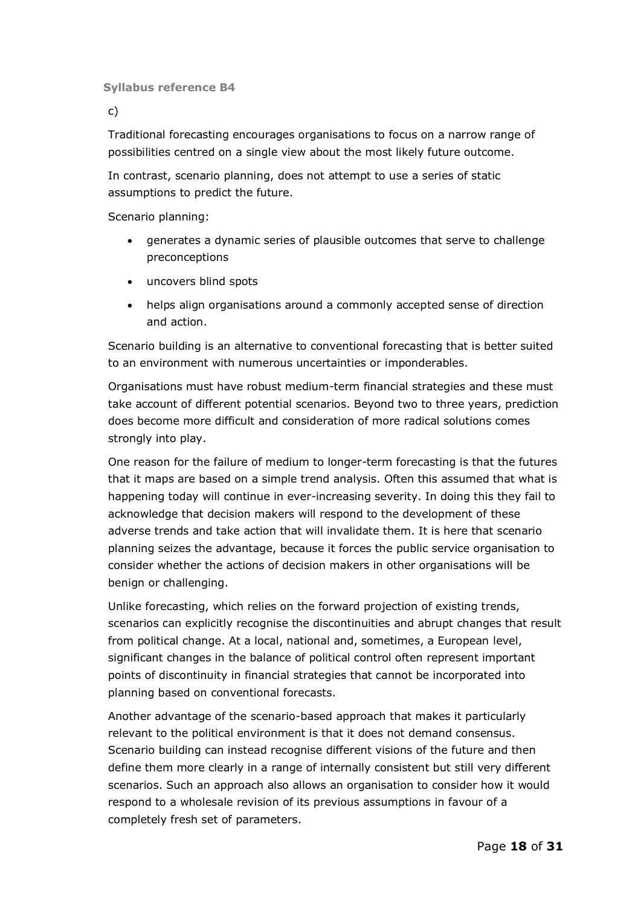**Syllabus reference B4**

c)

Traditional forecasting encourages organisations to focus on a narrow range of possibilities centred on a single view about the most likely future outcome.

In contrast, scenario planning, does not attempt to use a series of static assumptions to predict the future.

Scenario planning:

- generates a dynamic series of plausible outcomes that serve to challenge preconceptions
- uncovers blind spots
- helps align organisations around a commonly accepted sense of direction and action.

Scenario building is an alternative to conventional forecasting that is better suited to an environment with numerous uncertainties or imponderables.

Organisations must have robust medium-term financial strategies and these must take account of different potential scenarios. Beyond two to three years, prediction does become more difficult and consideration of more radical solutions comes strongly into play.

One reason for the failure of medium to longer-term forecasting is that the futures that it maps are based on a simple trend analysis. Often this assumed that what is happening today will continue in ever-increasing severity. In doing this they fail to acknowledge that decision makers will respond to the development of these adverse trends and take action that will invalidate them. It is here that scenario planning seizes the advantage, because it forces the public service organisation to consider whether the actions of decision makers in other organisations will be benign or challenging.

Unlike forecasting, which relies on the forward projection of existing trends, scenarios can explicitly recognise the discontinuities and abrupt changes that result from political change. At a local, national and, sometimes, a European level, significant changes in the balance of political control often represent important points of discontinuity in financial strategies that cannot be incorporated into planning based on conventional forecasts.

Another advantage of the scenario-based approach that makes it particularly relevant to the political environment is that it does not demand consensus. Scenario building can instead recognise different visions of the future and then define them more clearly in a range of internally consistent but still very different scenarios. Such an approach also allows an organisation to consider how it would respond to a wholesale revision of its previous assumptions in favour of a completely fresh set of parameters.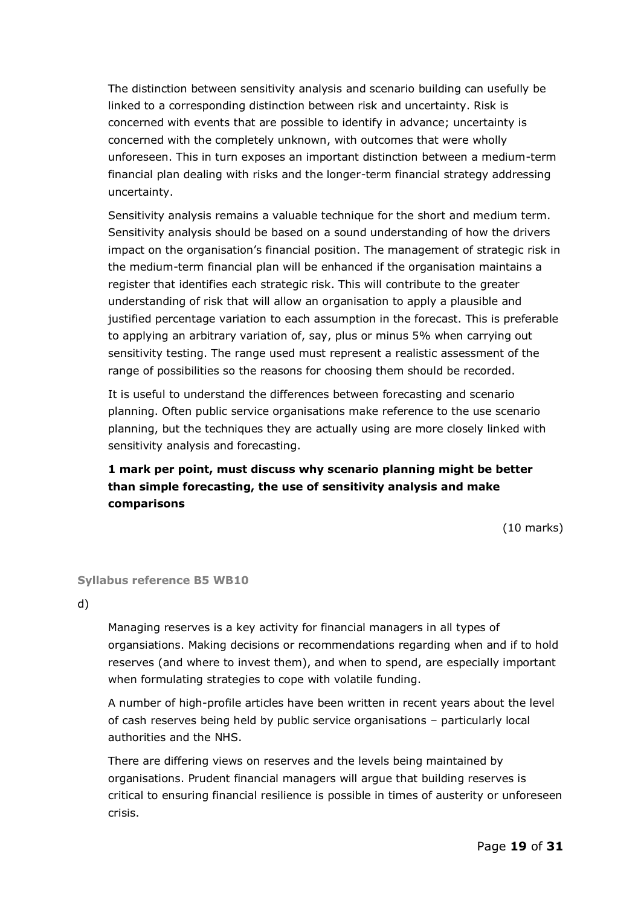The distinction between sensitivity analysis and scenario building can usefully be linked to a corresponding distinction between risk and uncertainty. Risk is concerned with events that are possible to identify in advance; uncertainty is concerned with the completely unknown, with outcomes that were wholly unforeseen. This in turn exposes an important distinction between a medium-term financial plan dealing with risks and the longer-term financial strategy addressing uncertainty.

Sensitivity analysis remains a valuable technique for the short and medium term. Sensitivity analysis should be based on a sound understanding of how the drivers impact on the organisation's financial position. The management of strategic risk in the medium-term financial plan will be enhanced if the organisation maintains a register that identifies each strategic risk. This will contribute to the greater understanding of risk that will allow an organisation to apply a plausible and justified percentage variation to each assumption in the forecast. This is preferable to applying an arbitrary variation of, say, plus or minus 5% when carrying out sensitivity testing. The range used must represent a realistic assessment of the range of possibilities so the reasons for choosing them should be recorded.

It is useful to understand the differences between forecasting and scenario planning. Often public service organisations make reference to the use scenario planning, but the techniques they are actually using are more closely linked with sensitivity analysis and forecasting.

# **1 mark per point, must discuss why scenario planning might be better than simple forecasting, the use of sensitivity analysis and make comparisons**

(10 marks)

#### **Syllabus reference B5 WB10**

d)

Managing reserves is a key activity for financial managers in all types of organsiations. Making decisions or recommendations regarding when and if to hold reserves (and where to invest them), and when to spend, are especially important when formulating strategies to cope with volatile funding.

A number of high-profile articles have been written in recent years about the level of cash reserves being held by public service organisations – particularly local authorities and the NHS.

There are differing views on reserves and the levels being maintained by organisations. Prudent financial managers will argue that building reserves is critical to ensuring financial resilience is possible in times of austerity or unforeseen crisis.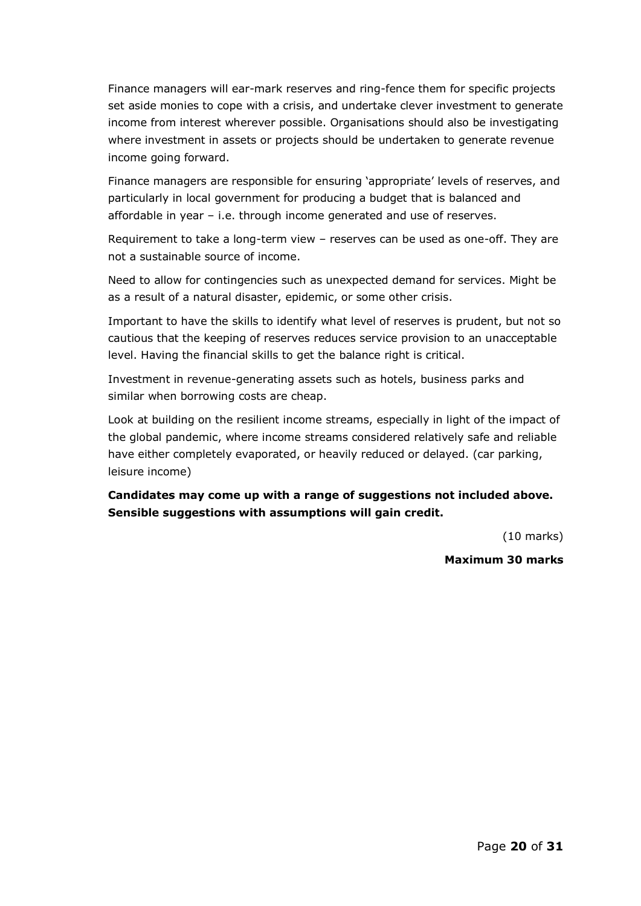Finance managers will ear-mark reserves and ring-fence them for specific projects set aside monies to cope with a crisis, and undertake clever investment to generate income from interest wherever possible. Organisations should also be investigating where investment in assets or projects should be undertaken to generate revenue income going forward.

Finance managers are responsible for ensuring 'appropriate' levels of reserves, and particularly in local government for producing a budget that is balanced and affordable in year – i.e. through income generated and use of reserves.

Requirement to take a long-term view – reserves can be used as one-off. They are not a sustainable source of income.

Need to allow for contingencies such as unexpected demand for services. Might be as a result of a natural disaster, epidemic, or some other crisis.

Important to have the skills to identify what level of reserves is prudent, but not so cautious that the keeping of reserves reduces service provision to an unacceptable level. Having the financial skills to get the balance right is critical.

Investment in revenue-generating assets such as hotels, business parks and similar when borrowing costs are cheap.

Look at building on the resilient income streams, especially in light of the impact of the global pandemic, where income streams considered relatively safe and reliable have either completely evaporated, or heavily reduced or delayed. (car parking, leisure income)

**Candidates may come up with a range of suggestions not included above. Sensible suggestions with assumptions will gain credit.** 

(10 marks)

#### **Maximum 30 marks**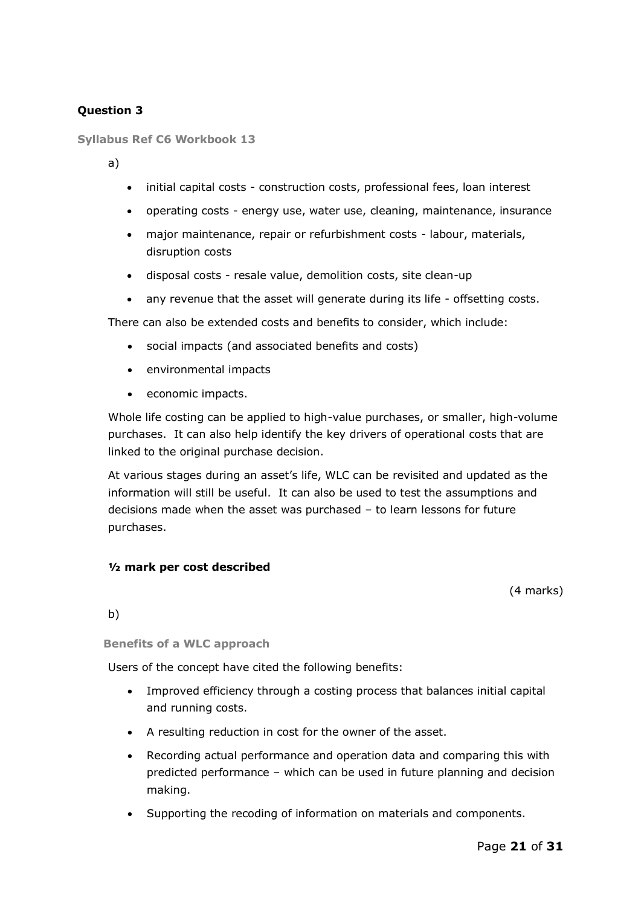# **Question 3**

**Syllabus Ref C6 Workbook 13**

a)

- initial capital costs construction costs, professional fees, loan interest
- operating costs energy use, water use, cleaning, maintenance, insurance
- major maintenance, repair or refurbishment costs labour, materials, disruption costs
- disposal costs resale value, demolition costs, site clean-up
- any revenue that the asset will generate during its life offsetting costs.

There can also be extended costs and benefits to consider, which include:

- social impacts (and associated benefits and costs)
- environmental impacts
- economic impacts.

Whole life costing can be applied to high-value purchases, or smaller, high-volume purchases. It can also help identify the key drivers of operational costs that are linked to the original purchase decision.

At various stages during an asset's life, WLC can be revisited and updated as the information will still be useful. It can also be used to test the assumptions and decisions made when the asset was purchased – to learn lessons for future purchases.

#### **½ mark per cost described**

(4 marks)

b)

**Benefits of a WLC approach**

Users of the concept have cited the following benefits:

- Improved efficiency through a costing process that balances initial capital and running costs.
- A resulting reduction in cost for the owner of the asset.
- Recording actual performance and operation data and comparing this with predicted performance – which can be used in future planning and decision making.
- Supporting the recoding of information on materials and components.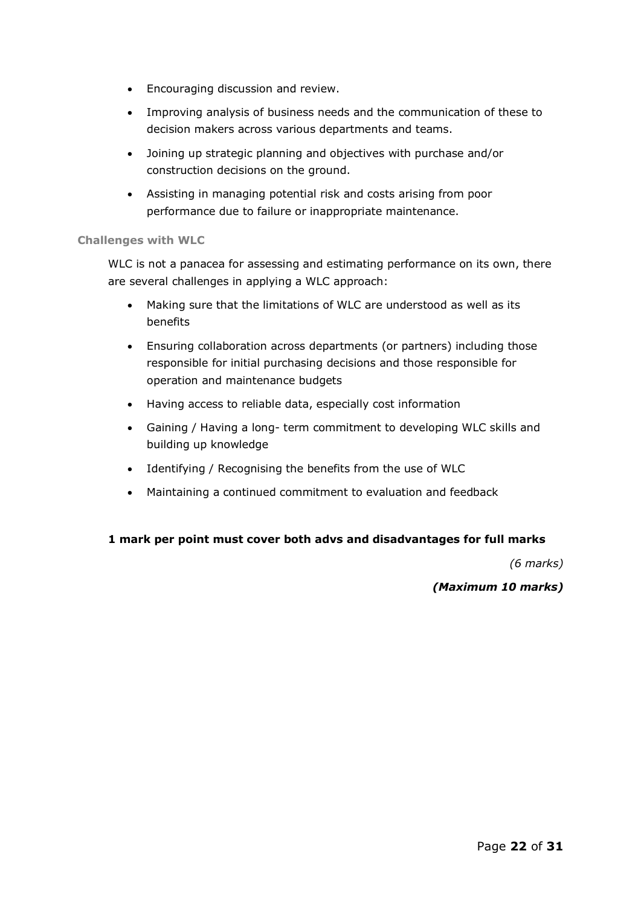- Encouraging discussion and review.
- Improving analysis of business needs and the communication of these to decision makers across various departments and teams.
- Joining up strategic planning and objectives with purchase and/or construction decisions on the ground.
- Assisting in managing potential risk and costs arising from poor performance due to failure or inappropriate maintenance.

#### **Challenges with WLC**

WLC is not a panacea for assessing and estimating performance on its own, there are several challenges in applying a WLC approach:

- Making sure that the limitations of WLC are understood as well as its benefits
- Ensuring collaboration across departments (or partners) including those responsible for initial purchasing decisions and those responsible for operation and maintenance budgets
- Having access to reliable data, especially cost information
- Gaining / Having a long- term commitment to developing WLC skills and building up knowledge
- Identifying / Recognising the benefits from the use of WLC
- Maintaining a continued commitment to evaluation and feedback

#### **1 mark per point must cover both advs and disadvantages for full marks**

*(6 marks)*

#### *(Maximum 10 marks)*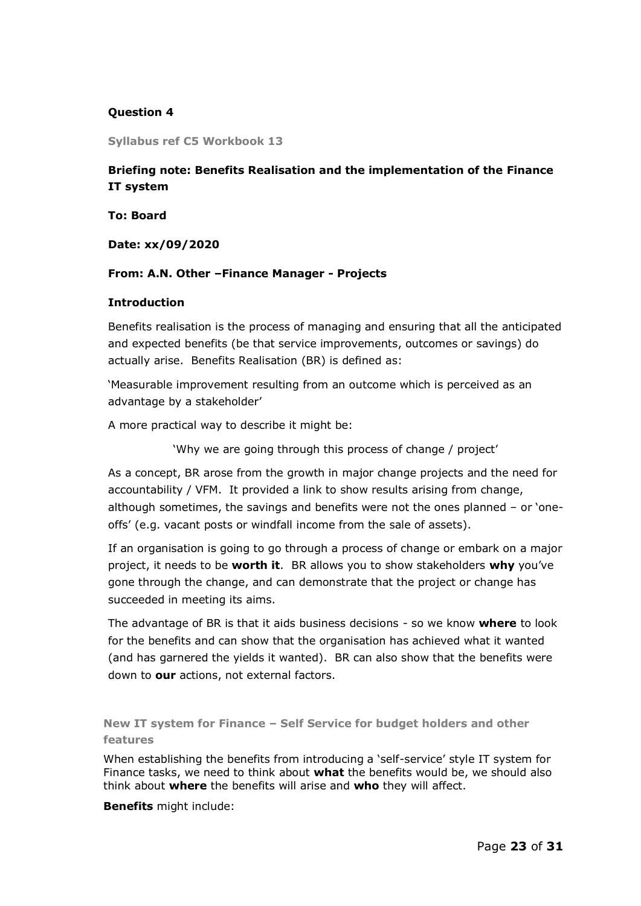## **Question 4**

**Syllabus ref C5 Workbook 13**

# **Briefing note: Benefits Realisation and the implementation of the Finance IT system**

**To: Board**

**Date: xx/09/2020**

#### **From: A.N. Other –Finance Manager - Projects**

#### **Introduction**

Benefits realisation is the process of managing and ensuring that all the anticipated and expected benefits (be that service improvements, outcomes or savings) do actually arise. Benefits Realisation (BR) is defined as:

'Measurable improvement resulting from an outcome which is perceived as an advantage by a stakeholder'

A more practical way to describe it might be:

'Why we are going through this process of change / project'

As a concept, BR arose from the growth in major change projects and the need for accountability / VFM. It provided a link to show results arising from change, although sometimes, the savings and benefits were not the ones planned – or 'oneoffs' (e.g. vacant posts or windfall income from the sale of assets).

If an organisation is going to go through a process of change or embark on a major project, it needs to be **worth it**. BR allows you to show stakeholders **why** you've gone through the change, and can demonstrate that the project or change has succeeded in meeting its aims.

The advantage of BR is that it aids business decisions - so we know **where** to look for the benefits and can show that the organisation has achieved what it wanted (and has garnered the yields it wanted). BR can also show that the benefits were down to **our** actions, not external factors.

**New IT system for Finance – Self Service for budget holders and other features**

When establishing the benefits from introducing a 'self-service' style IT system for Finance tasks, we need to think about **what** the benefits would be, we should also think about **where** the benefits will arise and **who** they will affect.

**Benefits** might include: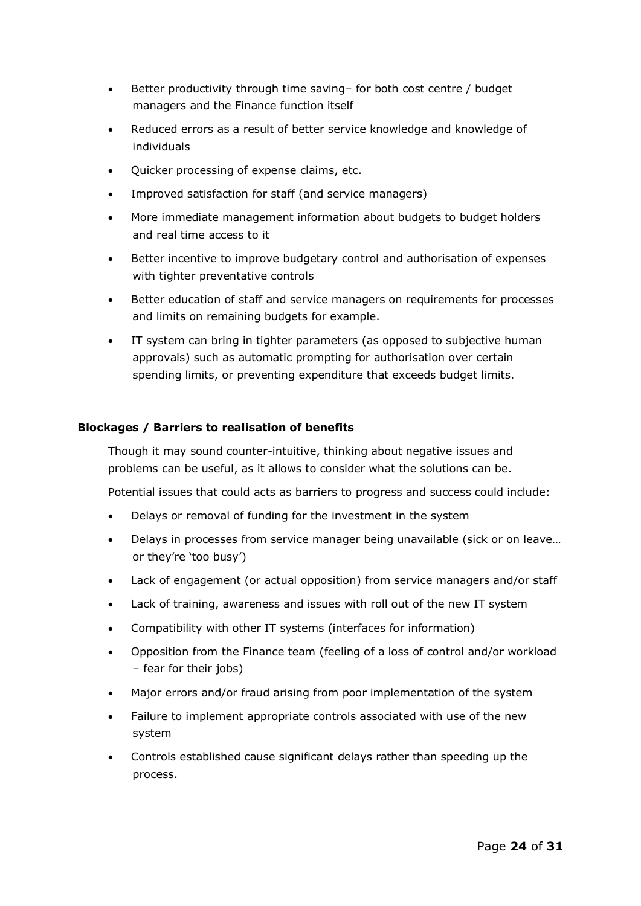- Better productivity through time saving– for both cost centre / budget managers and the Finance function itself
- Reduced errors as a result of better service knowledge and knowledge of individuals
- Quicker processing of expense claims, etc.
- Improved satisfaction for staff (and service managers)
- More immediate management information about budgets to budget holders and real time access to it
- Better incentive to improve budgetary control and authorisation of expenses with tighter preventative controls
- Better education of staff and service managers on requirements for processes and limits on remaining budgets for example.
- IT system can bring in tighter parameters (as opposed to subjective human approvals) such as automatic prompting for authorisation over certain spending limits, or preventing expenditure that exceeds budget limits.

# **Blockages / Barriers to realisation of benefits**

Though it may sound counter-intuitive, thinking about negative issues and problems can be useful, as it allows to consider what the solutions can be.

Potential issues that could acts as barriers to progress and success could include:

- Delays or removal of funding for the investment in the system
- Delays in processes from service manager being unavailable (sick or on leave… or they're 'too busy')
- Lack of engagement (or actual opposition) from service managers and/or staff
- Lack of training, awareness and issues with roll out of the new IT system
- Compatibility with other IT systems (interfaces for information)
- Opposition from the Finance team (feeling of a loss of control and/or workload – fear for their jobs)
- Major errors and/or fraud arising from poor implementation of the system
- Failure to implement appropriate controls associated with use of the new system
- Controls established cause significant delays rather than speeding up the process.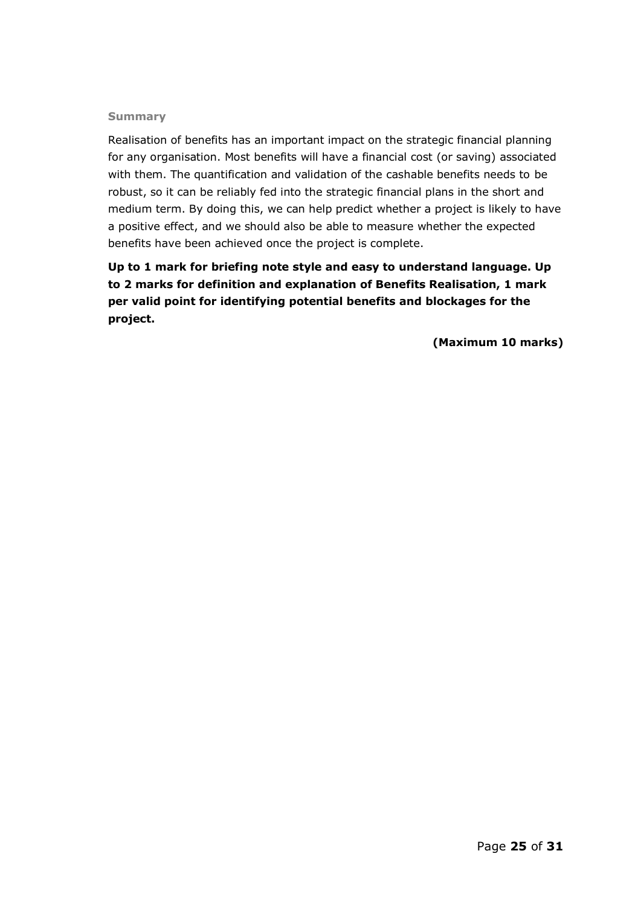#### **Summary**

Realisation of benefits has an important impact on the strategic financial planning for any organisation. Most benefits will have a financial cost (or saving) associated with them. The quantification and validation of the cashable benefits needs to be robust, so it can be reliably fed into the strategic financial plans in the short and medium term. By doing this, we can help predict whether a project is likely to have a positive effect, and we should also be able to measure whether the expected benefits have been achieved once the project is complete.

**Up to 1 mark for briefing note style and easy to understand language. Up to 2 marks for definition and explanation of Benefits Realisation, 1 mark per valid point for identifying potential benefits and blockages for the project.** 

**(Maximum 10 marks)**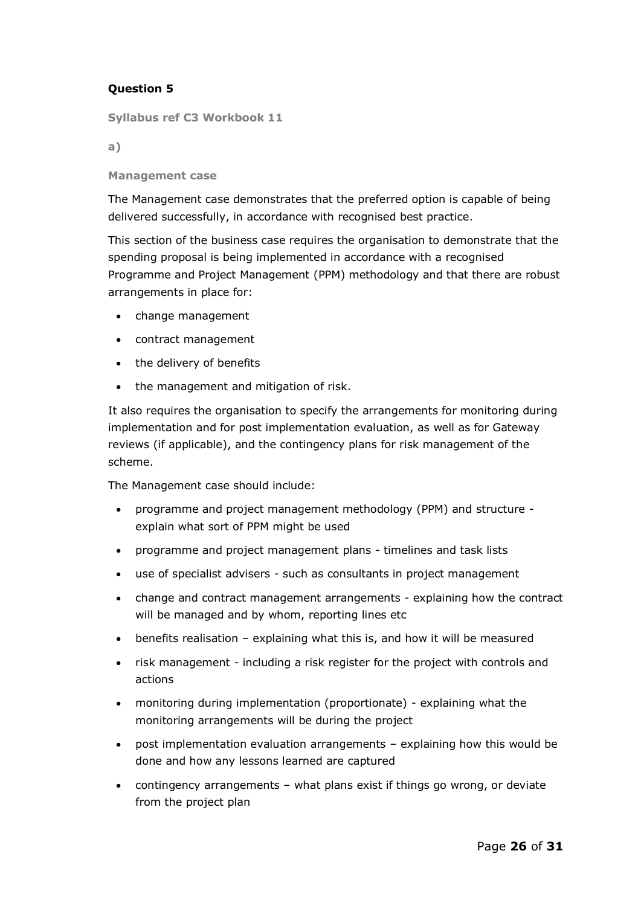# **Question 5**

**Syllabus ref C3 Workbook 11**

**a)**

**Management case** 

The Management case demonstrates that the preferred option is capable of being delivered successfully, in accordance with recognised best practice.

This section of the business case requires the organisation to demonstrate that the spending proposal is being implemented in accordance with a recognised Programme and Project Management (PPM) methodology and that there are robust arrangements in place for:

- change management
- contract management
- the delivery of benefits
- the management and mitigation of risk.

It also requires the organisation to specify the arrangements for monitoring during implementation and for post implementation evaluation, as well as for Gateway reviews (if applicable), and the contingency plans for risk management of the scheme.

The Management case should include:

- programme and project management methodology (PPM) and structure explain what sort of PPM might be used
- programme and project management plans timelines and task lists
- use of specialist advisers such as consultants in project management
- change and contract management arrangements explaining how the contract will be managed and by whom, reporting lines etc
- benefits realisation explaining what this is, and how it will be measured
- risk management including a risk register for the project with controls and actions
- monitoring during implementation (proportionate) explaining what the monitoring arrangements will be during the project
- post implementation evaluation arrangements explaining how this would be done and how any lessons learned are captured
- contingency arrangements what plans exist if things go wrong, or deviate from the project plan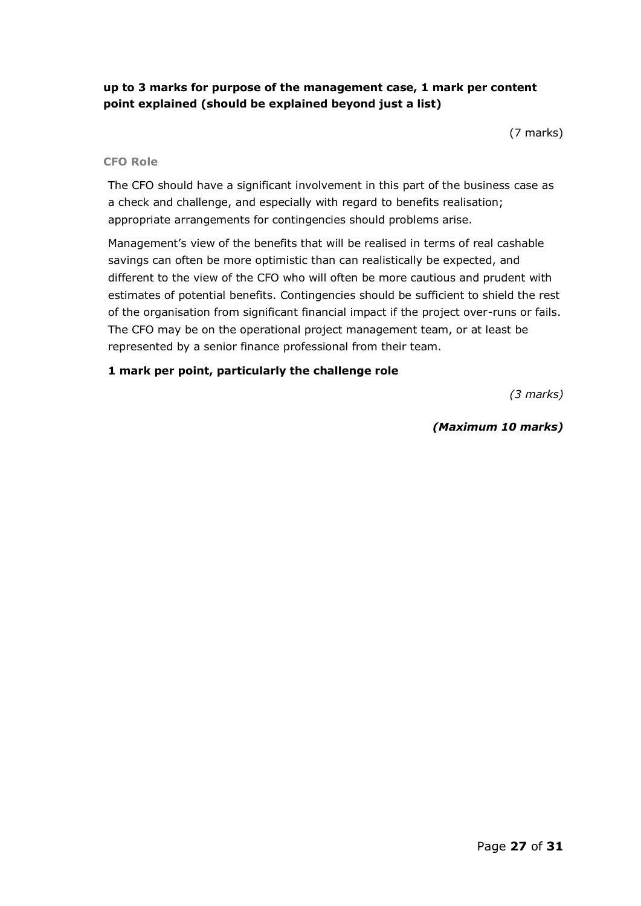# **up to 3 marks for purpose of the management case, 1 mark per content point explained (should be explained beyond just a list)**

(7 marks)

#### **CFO Role**

The CFO should have a significant involvement in this part of the business case as a check and challenge, and especially with regard to benefits realisation; appropriate arrangements for contingencies should problems arise.

Management's view of the benefits that will be realised in terms of real cashable savings can often be more optimistic than can realistically be expected, and different to the view of the CFO who will often be more cautious and prudent with estimates of potential benefits. Contingencies should be sufficient to shield the rest of the organisation from significant financial impact if the project over-runs or fails. The CFO may be on the operational project management team, or at least be represented by a senior finance professional from their team.

#### **1 mark per point, particularly the challenge role**

*(3 marks)*

# *(Maximum 10 marks)*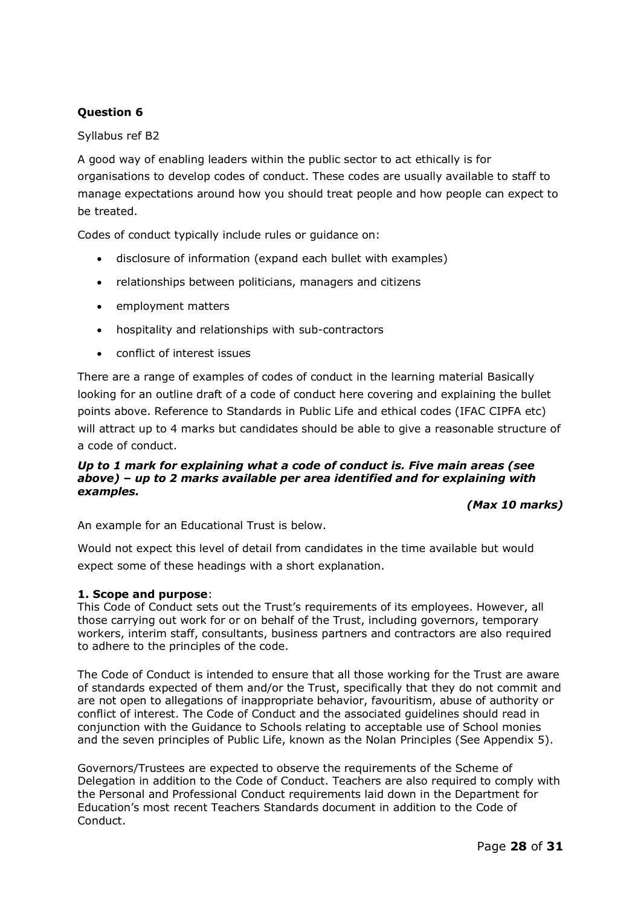# **Question 6**

Syllabus ref B2

A good way of enabling leaders within the public sector to act ethically is for organisations to develop codes of conduct. These codes are usually available to staff to manage expectations around how you should treat people and how people can expect to be treated.

Codes of conduct typically include rules or guidance on:

- disclosure of information (expand each bullet with examples)
- relationships between politicians, managers and citizens
- employment matters
- hospitality and relationships with sub-contractors
- conflict of interest issues

There are a range of examples of codes of conduct in the learning material Basically looking for an outline draft of a code of conduct here covering and explaining the bullet points above. Reference to Standards in Public Life and ethical codes (IFAC CIPFA etc) will attract up to 4 marks but candidates should be able to give a reasonable structure of a code of conduct.

#### *Up to 1 mark for explaining what a code of conduct is. Five main areas (see above) – up to 2 marks available per area identified and for explaining with examples.*

#### *(Max 10 marks)*

An example for an Educational Trust is below.

Would not expect this level of detail from candidates in the time available but would expect some of these headings with a short explanation.

#### **1. Scope and purpose**:

This Code of Conduct sets out the Trust's requirements of its employees. However, all those carrying out work for or on behalf of the Trust, including governors, temporary workers, interim staff, consultants, business partners and contractors are also required to adhere to the principles of the code.

The Code of Conduct is intended to ensure that all those working for the Trust are aware of standards expected of them and/or the Trust, specifically that they do not commit and are not open to allegations of inappropriate behavior, favouritism, abuse of authority or conflict of interest. The Code of Conduct and the associated guidelines should read in conjunction with the Guidance to Schools relating to acceptable use of School monies and the seven principles of Public Life, known as the Nolan Principles (See Appendix 5).

Governors/Trustees are expected to observe the requirements of the Scheme of Delegation in addition to the Code of Conduct. Teachers are also required to comply with the Personal and Professional Conduct requirements laid down in the Department for Education's most recent Teachers Standards document in addition to the Code of Conduct.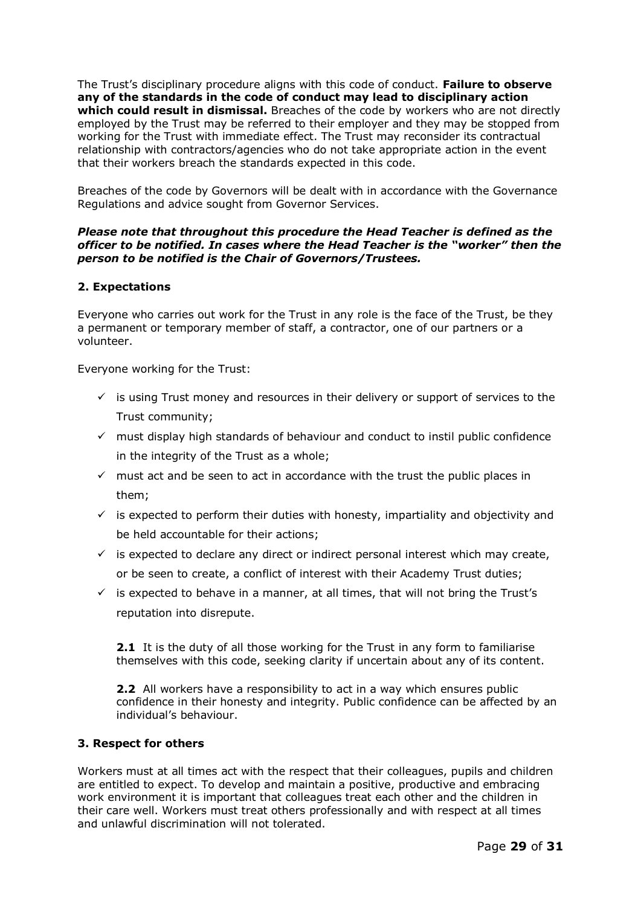The Trust's disciplinary procedure aligns with this code of conduct. **Failure to observe any of the standards in the code of conduct may lead to disciplinary action which could result in dismissal.** Breaches of the code by workers who are not directly employed by the Trust may be referred to their employer and they may be stopped from working for the Trust with immediate effect. The Trust may reconsider its contractual relationship with contractors/agencies who do not take appropriate action in the event that their workers breach the standards expected in this code.

Breaches of the code by Governors will be dealt with in accordance with the Governance Regulations and advice sought from Governor Services.

#### *Please note that throughout this procedure the Head Teacher is defined as the officer to be notified. In cases where the Head Teacher is the "worker" then the person to be notified is the Chair of Governors/Trustees.*

#### **2. Expectations**

Everyone who carries out work for the Trust in any role is the face of the Trust, be they a permanent or temporary member of staff, a contractor, one of our partners or a volunteer.

Everyone working for the Trust:

- $\checkmark$  is using Trust money and resources in their delivery or support of services to the Trust community;
- ✓ must display high standards of behaviour and conduct to instil public confidence in the integrity of the Trust as a whole;
- $\checkmark$  must act and be seen to act in accordance with the trust the public places in them;
- $\checkmark$  is expected to perform their duties with honesty, impartiality and objectivity and be held accountable for their actions;
- $\checkmark$  is expected to declare any direct or indirect personal interest which may create, or be seen to create, a conflict of interest with their Academy Trust duties;
- $\checkmark$  is expected to behave in a manner, at all times, that will not bring the Trust's reputation into disrepute.

**2.1** It is the duty of all those working for the Trust in any form to familiarise themselves with this code, seeking clarity if uncertain about any of its content.

**2.2** All workers have a responsibility to act in a way which ensures public confidence in their honesty and integrity. Public confidence can be affected by an individual's behaviour.

#### **3. Respect for others**

Workers must at all times act with the respect that their colleagues, pupils and children are entitled to expect. To develop and maintain a positive, productive and embracing work environment it is important that colleagues treat each other and the children in their care well. Workers must treat others professionally and with respect at all times and unlawful discrimination will not tolerated.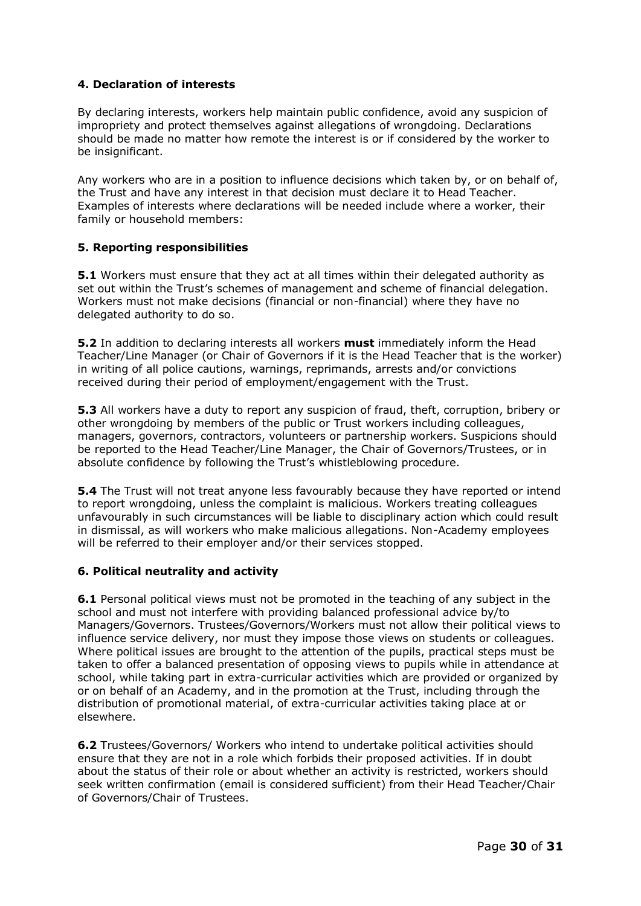#### **4. Declaration of interests**

By declaring interests, workers help maintain public confidence, avoid any suspicion of impropriety and protect themselves against allegations of wrongdoing. Declarations should be made no matter how remote the interest is or if considered by the worker to be insignificant.

Any workers who are in a position to influence decisions which taken by, or on behalf of, the Trust and have any interest in that decision must declare it to Head Teacher. Examples of interests where declarations will be needed include where a worker, their family or household members:

#### **5. Reporting responsibilities**

**5.1** Workers must ensure that they act at all times within their delegated authority as set out within the Trust's schemes of management and scheme of financial delegation. Workers must not make decisions (financial or non-financial) where they have no delegated authority to do so.

**5.2** In addition to declaring interests all workers **must** immediately inform the Head Teacher/Line Manager (or Chair of Governors if it is the Head Teacher that is the worker) in writing of all police cautions, warnings, reprimands, arrests and/or convictions received during their period of employment/engagement with the Trust.

**5.3** All workers have a duty to report any suspicion of fraud, theft, corruption, bribery or other wrongdoing by members of the public or Trust workers including colleagues, managers, governors, contractors, volunteers or partnership workers. Suspicions should be reported to the Head Teacher/Line Manager, the Chair of Governors/Trustees, or in absolute confidence by following the Trust's whistleblowing procedure.

**5.4** The Trust will not treat anyone less favourably because they have reported or intend to report wrongdoing, unless the complaint is malicious. Workers treating colleagues unfavourably in such circumstances will be liable to disciplinary action which could result in dismissal, as will workers who make malicious allegations. Non-Academy employees will be referred to their employer and/or their services stopped.

#### **6. Political neutrality and activity**

**6.1** Personal political views must not be promoted in the teaching of any subject in the school and must not interfere with providing balanced professional advice by/to Managers/Governors. Trustees/Governors/Workers must not allow their political views to influence service delivery, nor must they impose those views on students or colleagues. Where political issues are brought to the attention of the pupils, practical steps must be taken to offer a balanced presentation of opposing views to pupils while in attendance at school, while taking part in extra-curricular activities which are provided or organized by or on behalf of an Academy, and in the promotion at the Trust, including through the distribution of promotional material, of extra-curricular activities taking place at or elsewhere.

**6.2** Trustees/Governors/ Workers who intend to undertake political activities should ensure that they are not in a role which forbids their proposed activities. If in doubt about the status of their role or about whether an activity is restricted, workers should seek written confirmation (email is considered sufficient) from their Head Teacher/Chair of Governors/Chair of Trustees.